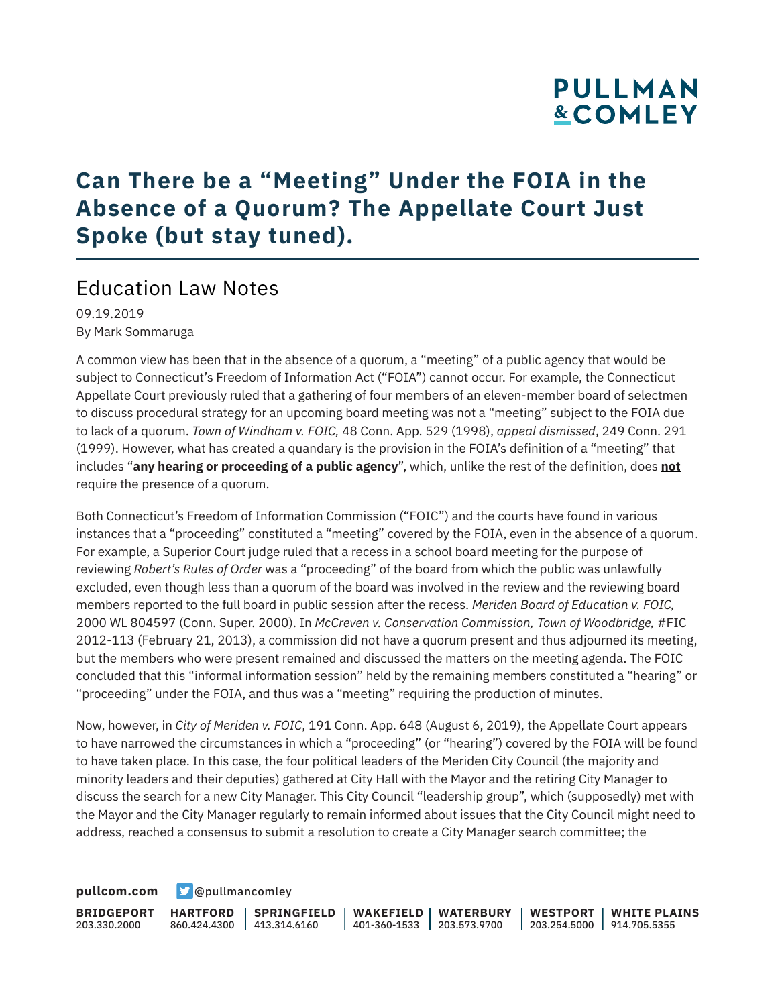## **PULLMAN &COMLEY**

## **Can There be a "Meeting" Under the FOIA in the Absence of a Quorum? The Appellate Court Just Spoke (but stay tuned).**

### Education Law Notes

09.19.2019 By Mark Sommaruga

A common view has been that in the absence of a quorum, a "meeting" of a public agency that would be subject to Connecticut's Freedom of Information Act ("FOIA") cannot occur. For example, the Connecticut Appellate Court previously ruled that a gathering of four members of an eleven-member board of selectmen to discuss procedural strategy for an upcoming board meeting was not a "meeting" subject to the FOIA due to lack of a quorum. *Town of Windham v. FOIC,* 48 Conn. App. 529 (1998), *appeal dismissed*, 249 Conn. 291 (1999). However, what has created a quandary is the provision in the FOIA's definition of a "meeting" that includes "**any hearing or proceeding of a public agency**", which, unlike the rest of the definition, does **not** require the presence of a quorum.

Both Connecticut's Freedom of Information Commission ("FOIC") and the courts have found in various instances that a "proceeding" constituted a "meeting" covered by the FOIA, even in the absence of a quorum. For example, a Superior Court judge ruled that a recess in a school board meeting for the purpose of reviewing *Robert's Rules of Order* was a "proceeding" of the board from which the public was unlawfully excluded, even though less than a quorum of the board was involved in the review and the reviewing board members reported to the full board in public session after the recess. *Meriden Board of Education v. FOIC,* 2000 WL 804597 (Conn. Super. 2000). In *McCreven v. Conservation Commission, Town of Woodbridge, #FIC* 2012-113 (February 21, 2013), a commission did not have a quorum present and thus adjourned its meeting, but the members who were present remained and discussed the matters on the meeting agenda. The FOIC concluded that this "informal information session" held by the remaining members constituted a "hearing" or "proceeding" under the FOIA, and thus was a "meeting" requiring the production of minutes.

Now, however, in *City of Meriden v. FOIC*, 191 Conn. App. 648 (August 6, 2019), the Appellate Court appears to have narrowed the circumstances in which a "proceeding" (or "hearing") covered by the FOIA will be found to have taken place. In this case, the four political leaders of the Meriden City Council (the majority and minority leaders and their deputies) gathered at City Hall with the Mayor and the retiring City Manager to discuss the search for a new City Manager. This City Council "leadership group", which (supposedly) met with the Mayor and the City Manager regularly to remain informed about issues that the City Council might need to address, reached a consensus to submit a resolution to create a City Manager search committee; the

**[pullcom.com](https://www.pullcom.com) g** [@pullmancomley](https://twitter.com/PullmanComley)

**BRIDGEPORT HARTFORD** 203.330.2000 860.424.4300 413.314.6160 **SPRINGFIELD WAKEFIELD WATERBURY** 401-360-1533 203.573.9700 **WESTPORT WHITE PLAINS** 203.254.5000 914.705.5355